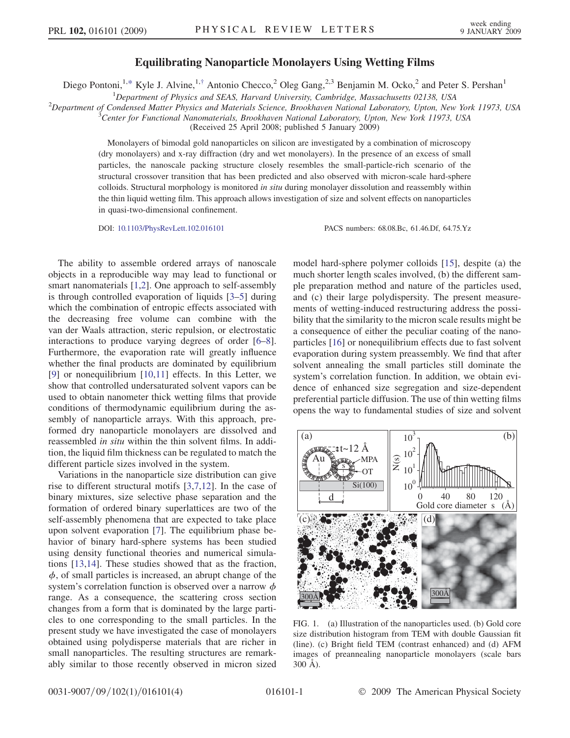## $\mathbb{F}_q$  and  $\mathbb{F}_q$  are  $\mathbb{F}_q$  and  $\mathbb{F}_q$  are  $\mathbb{F}_q$  and  $\mathbb{F}_q$   $\mathbb{F}_q$  and  $\mathbb{F}_q$  and  $\mathbb{F}_q$  and  $\mathbb{F}_q$  and  $\mathbb{F}_q$  and  $\mathbb{F}_q$  and  $\mathbb{F}_q$  and  $\mathbb{F}_q$  and  $\mathbb{F}_q$  and  $\mathbb{F}_q$  and

<span id="page-0-0"></span>Diego Pontoni,<sup>1[,\\*](#page-3-0)</sup> Kyle J. Alvine,<sup>1[,†](#page-3-0)</sup> Antonio Checco,<sup>2</sup> Oleg Gang,<sup>2,3</sup> Benjamin M. Ocko,<sup>2</sup> and Peter S. Pershan<sup>1</sup>

<sup>1</sup>Department of Physics and SEAS, Harvard University, Cambridge, Massachusetts 02138, USA<br><sup>2</sup>Department of Condensed Matter Physics and Materials Science, Brookhayen National Laboratory, Unton, New

 $2$ Department of Condensed Matter Physics and Materials Science, Brookhaven National Laboratory, Upton, New York 11973, USA

Center for Functional Nanomaterials, Brookhaven National Laboratory, Upton, New York 11973, USA

(Received 25 April 2008; published 5 January 2009)

Monolayers of bimodal gold nanoparticles on silicon are investigated by a combination of microscopy (dry monolayers) and x-ray diffraction (dry and wet monolayers). In the presence of an excess of small particles, the nanoscale packing structure closely resembles the small-particle-rich scenario of the structural crossover transition that has been predicted and also observed with micron-scale hard-sphere colloids. Structural morphology is monitored *in situ* during monolayer dissolution and reassembly within the thin liquid wetting film. This approach allows investigation of size and solvent effects on nanoparticles in quasi-two-dimensional confinement.

DOI: [10.1103/PhysRevLett.102.016101](http://dx.doi.org/10.1103/PhysRevLett.102.016101) PACS numbers: 68.08.Bc, 61.46.Df, 64.75.Yz

The ability to assemble ordered arrays of nanoscale objects in a reproducible way may lead to functional or smart nanomaterials [[1](#page-3-0),[2\]](#page-3-0). One approach to self-assembly is through controlled evaporation of liquids [[3–5](#page-3-0)] during which the combination of entropic effects associated with the decreasing free volume can combine with the van der Waals attraction, steric repulsion, or electrostatic interactions to produce varying degrees of order [\[6](#page-3-0)–[8\]](#page-3-0). Furthermore, the evaporation rate will greatly influence whether the final products are dominated by equilibrium [\[9\]](#page-3-0) or nonequilibrium [\[10,11\]](#page-3-0) effects. In this Letter, we show that controlled undersaturated solvent vapors can be used to obtain nanometer thick wetting films that provide conditions of thermodynamic equilibrium during the assembly of nanoparticle arrays. With this approach, preformed dry nanoparticle monolayers are dissolved and reassembled in situ within the thin solvent films. In addition, the liquid film thickness can be regulated to match the different particle sizes involved in the system.

Variations in the nanoparticle size distribution can give rise to different structural motifs [[3,7,12\]](#page-3-0). In the case of binary mixtures, size selective phase separation and the formation of ordered binary superlattices are two of the self-assembly phenomena that are expected to take place upon solvent evaporation [\[7\]](#page-3-0). The equilibrium phase behavior of binary hard-sphere systems has been studied using density functional theories and numerical simulations [[13,14](#page-3-0)]. These studies showed that as the fraction,  $\phi$ , of small particles is increased, an abrupt change of the system's correlation function is observed over a narrow  $\phi$ range. As a consequence, the scattering cross section changes from a form that is dominated by the large particles to one corresponding to the small particles. In the present study we have investigated the case of monolayers obtained using polydisperse materials that are richer in small nanoparticles. The resulting structures are remarkably similar to those recently observed in micron sized model hard-sphere polymer colloids [[15](#page-3-0)], despite (a) the much shorter length scales involved, (b) the different sample preparation method and nature of the particles used, and (c) their large polydispersity. The present measurements of wetting-induced restructuring address the possibility that the similarity to the micron scale results might be a consequence of either the peculiar coating of the nanoparticles [[16](#page-3-0)] or nonequilibrium effects due to fast solvent evaporation during system preassembly. We find that after solvent annealing the small particles still dominate the system's correlation function. In addition, we obtain evidence of enhanced size segregation and size-dependent preferential particle diffusion. The use of thin wetting films opens the way to fundamental studies of size and solvent



FIG. 1. (a) Illustration of the nanoparticles used. (b) Gold core size distribution histogram from TEM with double Gaussian fit (line). (c) Bright field TEM (contrast enhanced) and (d) AFM images of preannealing nanoparticle monolayers (scale bars  $300 \text{ Å}$ ).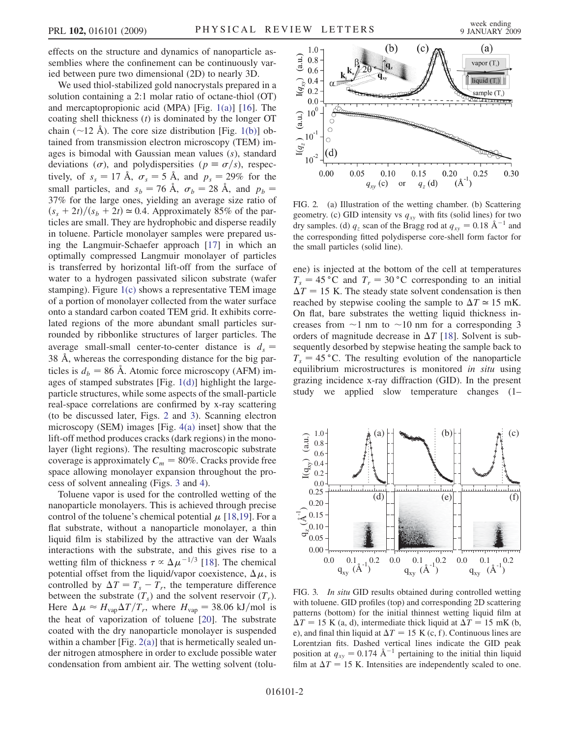effects on the structure and dynamics of nanoparticle assemblies where the confinement can be continuously varied between pure two dimensional (2D) to nearly 3D.

We used thiol-stabilized gold nanocrystals prepared in a solution containing a 2:1 molar ratio of octane-thiol (OT) and mercaptopropionic acid (MPA) [Fig. [1\(a\)](#page-0-0)] [\[16\]](#page-3-0). The coating shell thickness  $(t)$  is dominated by the longer OT chain ( $\sim$ 12 Å). The core size distribution [Fig. [1\(b\)\]](#page-0-0) obtained from transmission electron microscopy (TEM) images is bimodal with Gaussian mean values (s), standard deviations  $(\sigma)$ , and polydispersities  $(p \equiv \sigma/s)$ , respectively, of  $s_s = 17 \text{ Å}$ ,  $\sigma_s = 5 \text{ Å}$ , and  $p_s = 29\%$  for the small particles, and  $s_b = 76 \text{ Å}, \sigma_b = 28 \text{ Å}, \text{ and } p_b =$ 37% for the large ones, yielding an average size ratio of  $(s<sub>s</sub> + 2t)/(s<sub>b</sub> + 2t) \approx 0.4$ . Approximately 85% of the particles are small. They are hydrophobic and disperse readily in toluene. Particle monolayer samples were prepared using the Langmuir-Schaefer approach [\[17\]](#page-3-0) in which an optimally compressed Langmuir monolayer of particles is transferred by horizontal lift-off from the surface of water to a hydrogen passivated silicon substrate (wafer stamping). Figure [1\(c\)](#page-0-0) shows a representative TEM image of a portion of monolayer collected from the water surface onto a standard carbon coated TEM grid. It exhibits correlated regions of the more abundant small particles surrounded by ribbonlike structures of larger particles. The average small-small center-to-center distance is  $d_s =$ 38 Å, whereas the corresponding distance for the big particles is  $d_b = 86$  Å. Atomic force microscopy (AFM) images of stamped substrates [Fig. [1\(d\)\]](#page-0-0) highlight the largeparticle structures, while some aspects of the small-particle real-space correlations are confirmed by x-ray scattering (to be discussed later, Figs. 2 and 3). Scanning electron microscopy (SEM) images [Fig. [4\(a\)](#page-2-0) inset] show that the lift-off method produces cracks (dark regions) in the monolayer (light regions). The resulting macroscopic substrate coverage is approximately  $C_m = 80\%$ . Cracks provide free space allowing monolayer expansion throughout the process of solvent annealing (Figs. 3 and [4\)](#page-2-0).

Toluene vapor is used for the controlled wetting of the nanoparticle monolayers. This is achieved through precise control of the toluene's chemical potential  $\mu$  [[18](#page-3-0),[19](#page-3-0)]. For a flat substrate, without a nanoparticle monolayer, a thin liquid film is stabilized by the attractive van der Waals interactions with the substrate, and this gives rise to a wetting film of thickness  $\tau \propto \Delta \mu^{-1/3}$  [[18](#page-3-0)]. The chemical potential offset from the liquid/vapor coexistence,  $\Delta \mu$ , is controlled by  $\Delta T = T_s - T_r$ , the temperature difference between the substrate  $(T_s)$  and the solvent reservoir  $(T_r)$ . Here  $\Delta \mu \approx H_{\text{vap}} \Delta T / T_r$ , where  $H_{\text{vap}} = 38.06 \text{ kJ/mol}$  is the heat of vaporization of toluene [[20](#page-3-0)]. The substrate coated with the dry nanoparticle monolayer is suspended within a chamber  $[Fig. 2(a)]$  that is hermetically sealed under nitrogen atmosphere in order to exclude possible water condensation from ambient air. The wetting solvent (tolu-

<span id="page-1-0"></span>

FIG. 2. (a) Illustration of the wetting chamber. (b) Scattering geometry. (c) GID intensity vs  $q_{xy}$  with fits (solid lines) for two dry samples. (d)  $q_z$  scan of the Bragg rod at  $q_{xy} = 0.18 \text{ Å}^{-1}$  and the corresponding fitted polydisperse core-shell form factor for the small particles (solid line).

ene) is injected at the bottom of the cell at temperatures  $T_s = 45 \degree C$  and  $T_r = 30 \degree C$  corresponding to an initial  $\Delta T = 15$  K. The steady state solvent condensation is then reached by stepwise cooling the sample to  $\Delta T \approx 15$  mK. On flat, bare substrates the wetting liquid thickness increases from  $\sim$ 1 nm to  $\sim$ 10 nm for a corresponding 3 orders of magnitude decrease in  $\Delta T$  [[18\]](#page-3-0). Solvent is subsequently desorbed by stepwise heating the sample back to  $T<sub>s</sub> = 45$  °C. The resulting evolution of the nanoparticle equilibrium microstructures is monitored in situ using grazing incidence x-ray diffraction (GID). In the present study we applied slow temperature changes (1–



FIG. 3. *In situ* GID results obtained during controlled wetting with toluene. GID profiles (top) and corresponding 2D scattering patterns (bottom) for the initial thinnest wetting liquid film at  $\Delta T = 15$  K (a, d), intermediate thick liquid at  $\Delta T = 15$  mK (b, e), and final thin liquid at  $\Delta T = 15 \text{ K (c, f)}.$  Continuous lines are Lorentzian fits. Dashed vertical lines indicate the GID peak position at  $q_{xy} = 0.174 \text{ Å}^{-1}$  pertaining to the initial thin liquid film at  $\Delta T = 15$  K. Intensities are independently scaled to one.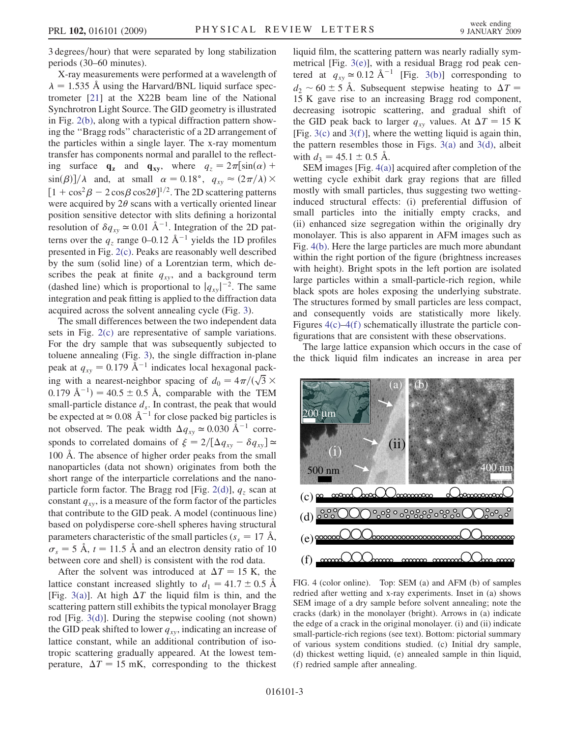<span id="page-2-0"></span>3 degrees/hour) that were separated by long stabilization periods (30–60 minutes).

X-ray measurements were performed at a wavelength of  $\lambda = 1.535$  Å using the Harvard/BNL liquid surface spectrometer [[21](#page-3-0)] at the X22B beam line of the National Synchrotron Light Source. The GID geometry is illustrated in Fig. [2\(b\)](#page-1-0), along with a typical diffraction pattern showing the ''Bragg rods'' characteristic of a 2D arrangement of the particles within a single layer. The x-ray momentum transfer has components normal and parallel to the reflecting surface  $\mathbf{q}_z$  and  $\mathbf{q}_{xy}$ , where  $q_z = 2\pi \left[\sin(\alpha) + \right]$  $\sin(\beta)/\lambda$  and, at small  $\alpha = 0.18^{\circ}$ ,  $q_{xy} \approx (2\pi/\lambda) \times$  $[1 + \cos^2 \beta - 2 \cos \beta \cos 2\theta]^{1/2}$ . The 2D scattering patterns were acquired by  $2\theta$  scans with a vertically oriented linear position sensitive detector with slits defining a horizontal resolution of  $\delta q_{xy} \approx 0.01 \text{ Å}^{-1}$ . Integration of the 2D patterns over the  $q_z$  range 0–0.12 Å<sup>-1</sup> yields the 1D profiles presented in Fig. [2\(c\)](#page-1-0). Peaks are reasonably well described by the sum (solid line) of a Lorentzian term, which describes the peak at finite  $q_{xy}$ , and a background term (dashed line) which is proportional to  $|q_{xy}|^{-2}$ . The same integration and peak fitting is applied to the diffraction data acquired across the solvent annealing cycle (Fig. [3\)](#page-1-0).

The small differences between the two independent data sets in Fig. [2\(c\)](#page-1-0) are representative of sample variations. For the dry sample that was subsequently subjected to toluene annealing (Fig. [3\)](#page-1-0), the single diffraction in-plane peak at  $q_{xy} = 0.179 \text{ Å}^{-1}$  indicates local hexagonal packpeak at  $q_{xy} = 0.179 \text{ A}^{-1}$  indicates local hexagonal pack-<br>ing with a nearest-neighbor spacing of  $d_0 = 4\pi/(\sqrt{3} \times$  $(0.179 \text{ Å}^{-1}) = 40.5 \pm 0.5 \text{ Å}$ , comparable with the TEM small-particle distance  $d_s$ . In contrast, the peak that would be expected at  $\simeq 0.08 \text{ Å}^{-1}$  for close packed big particles is not observed. The peak width  $\Delta q_{xy} \approx 0.030 \text{ Å}^{-1}$  corresponds to correlated domains of  $\xi = 2/[\Delta q_{xy} - \delta q_{xy}] \approx$ 100 Å. The absence of higher order peaks from the small nanoparticles (data not shown) originates from both the short range of the interparticle correlations and the nano-particle form factor. The Bragg rod [Fig. [2\(d\)\]](#page-1-0),  $q_z$  scan at constant  $q_{xy}$ , is a measure of the form factor of the particles that contribute to the GID peak. A model (continuous line) based on polydisperse core-shell spheres having structural parameters characteristic of the small particles ( $s_s = 17 \text{ Å}$ ,  $\sigma_s = 5$  Å,  $t = 11.5$  Å and an electron density ratio of 10 between core and shell) is consistent with the rod data.

After the solvent was introduced at  $\Delta T = 15$  K, the lattice constant increased slightly to  $d_1 = 41.7 \pm 0.5$  Å [Fig. [3\(a\)](#page-1-0)]. At high  $\Delta T$  the liquid film is thin, and the scattering pattern still exhibits the typical monolayer Bragg rod [Fig. [3\(d\)\]](#page-1-0). During the stepwise cooling (not shown) the GID peak shifted to lower  $q_{xy}$ , indicating an increase of lattice constant, while an additional contribution of isotropic scattering gradually appeared. At the lowest temperature,  $\Delta T = 15$  mK, corresponding to the thickest

liquid film, the scattering pattern was nearly radially symmetrical [Fig. [3\(e\)\]](#page-1-0), with a residual Bragg rod peak centered at  $q_{xy} \approx 0.12 \text{ Å}^{-1}$  [Fig. [3\(b\)\]](#page-1-0) corresponding to  $d_2 \sim 60 \pm 5$  Å. Subsequent stepwise heating to  $\Delta T =$ 15 K gave rise to an increasing Bragg rod component, decreasing isotropic scattering, and gradual shift of the GID peak back to larger  $q_{xy}$  values. At  $\Delta T = 15$  K [Fig.  $3(c)$  and  $3(f)$ ], where the wetting liquid is again thin, the pattern resembles those in Figs.  $3(a)$  and  $3(d)$ , albeit with  $d_3 = 45.1 \pm 0.5$  Å.

SEM images [Fig. 4(a)] acquired after completion of the wetting cycle exhibit dark gray regions that are filled mostly with small particles, thus suggesting two wettinginduced structural effects: (i) preferential diffusion of small particles into the initially empty cracks, and (ii) enhanced size segregation within the originally dry monolayer. This is also apparent in AFM images such as Fig. 4(b). Here the large particles are much more abundant within the right portion of the figure (brightness increases with height). Bright spots in the left portion are isolated large particles within a small-particle-rich region, while black spots are holes exposing the underlying substrate. The structures formed by small particles are less compact, and consequently voids are statistically more likely. Figures  $4(c)$ – $4(f)$  schematically illustrate the particle configurations that are consistent with these observations.

The large lattice expansion which occurs in the case of the thick liquid film indicates an increase in area per



FIG. 4 (color online). Top: SEM (a) and AFM (b) of samples redried after wetting and x-ray experiments. Inset in (a) shows SEM image of a dry sample before solvent annealing; note the cracks (dark) in the monolayer (bright). Arrows in (a) indicate the edge of a crack in the original monolayer. (i) and (ii) indicate small-particle-rich regions (see text). Bottom: pictorial summary of various system conditions studied. (c) Initial dry sample, (d) thickest wetting liquid, (e) annealed sample in thin liquid, (f) redried sample after annealing.